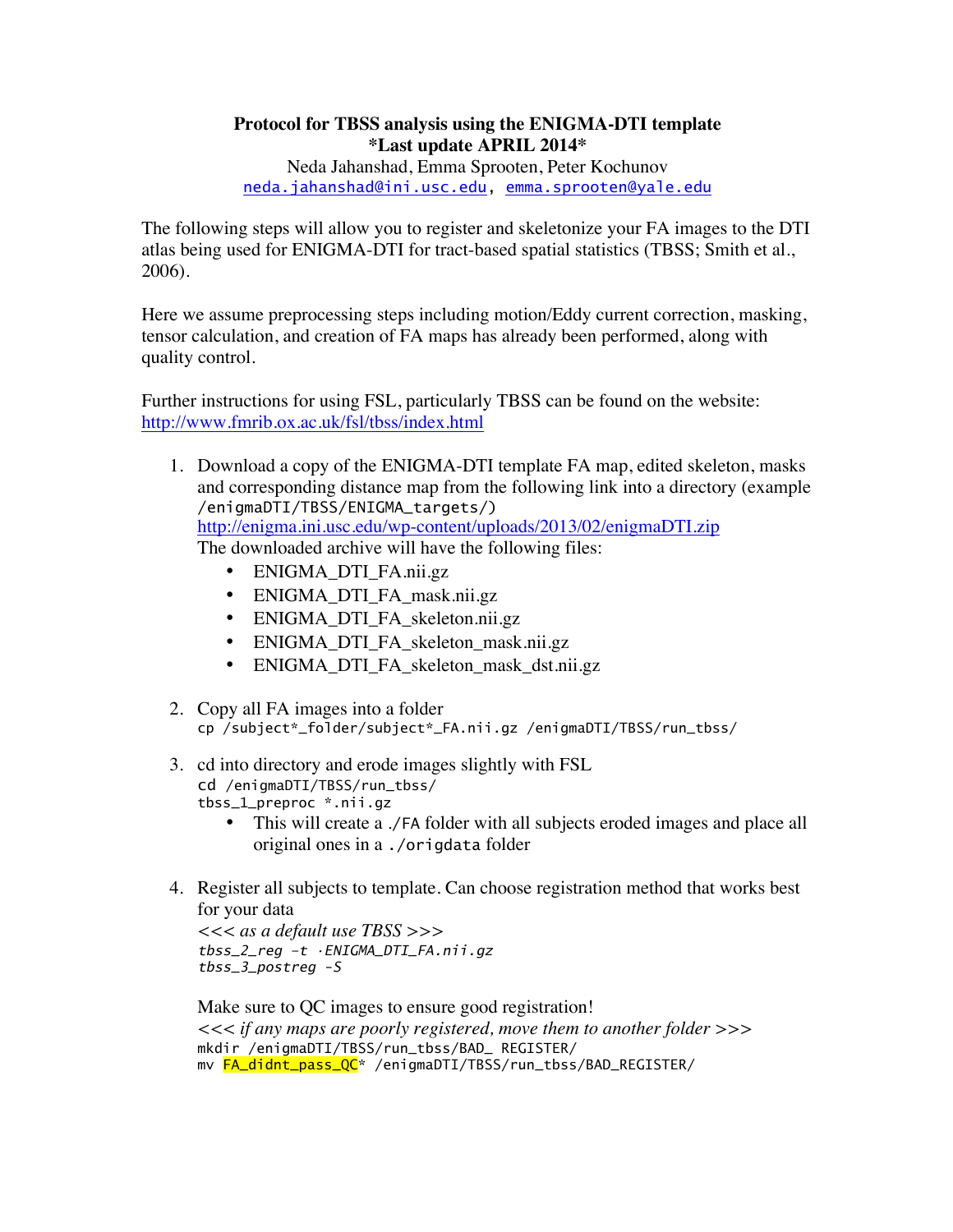## **Protocol for TBSS analysis using the ENIGMA-DTI template \*Last update APRIL 2014\***

Neda Jahanshad, Emma Sprooten, Peter Kochunov neda.jahanshad@ini.usc.edu, emma.sprooten@yale.edu

The following steps will allow you to register and skeletonize your FA images to the DTI atlas being used for ENIGMA-DTI for tract-based spatial statistics (TBSS; Smith et al., 2006).

Here we assume preprocessing steps including motion/Eddy current correction, masking, tensor calculation, and creation of FA maps has already been performed, along with quality control.

Further instructions for using FSL, particularly TBSS can be found on the website: http://www.fmrib.ox.ac.uk/fsl/tbss/index.html

- 1. Download a copy of the ENIGMA-DTI template FA map, edited skeleton, masks and corresponding distance map from the following link into a directory (example /enigmaDTI/TBSS/ENIGMA\_targets/) http://enigma.ini.usc.edu/wp-content/uploads/2013/02/enigmaDTI.zip The downloaded archive will have the following files:
	- ENIGMA\_DTI\_FA.nii.gz
	- ENIGMA\_DTI\_FA\_mask.nii.gz
	- ENIGMA DTI FA skeleton.nii.gz
	- ENIGMA\_DTI\_FA\_skeleton\_mask.nii.gz
	- ENIGMA\_DTI\_FA\_skeleton\_mask\_dst.nii.gz
- 2. Copy all FA images into a folder cp /subject\*\_folder/subject\*\_FA.nii.gz /enigmaDTI/TBSS/run\_tbss/
- 3. cd into directory and erode images slightly with FSL cd /enigmaDTI/TBSS/run\_tbss/ tbss\_1\_preproc \*.nii.gz
	- This will create a ./FA folder with all subjects eroded images and place all original ones in a ./origdata folder
- 4. Register all subjects to template. Can choose registration method that works best for your data

*<<< as a default use TBSS >>> tbss\_2\_reg –t •ENIGMA\_DTI\_FA.nii.gz tbss\_3\_postreg -S* 

Make sure to QC images to ensure good registration! *<<< if any maps are poorly registered, move them to another folder >>>* mkdir /enigmaDTI/TBSS/run\_tbss/BAD\_ REGISTER/ mv FA\_didnt\_pass\_QC\* /enigmaDTI/TBSS/run\_tbss/BAD\_REGISTER/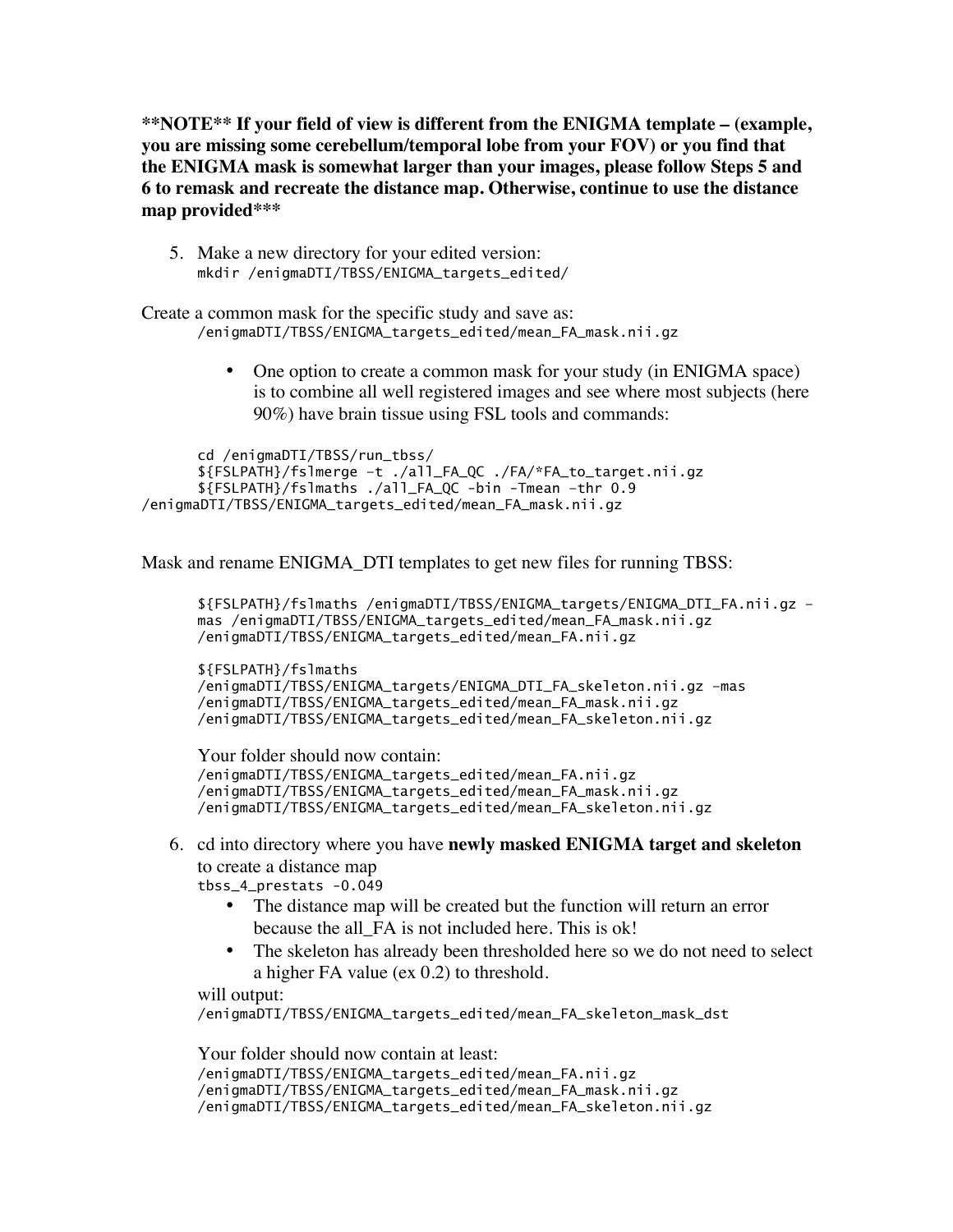**\*\*NOTE\*\* If your field of view is different from the ENIGMA template – (example, you are missing some cerebellum/temporal lobe from your FOV) or you find that the ENIGMA mask is somewhat larger than your images, please follow Steps 5 and 6 to remask and recreate the distance map. Otherwise, continue to use the distance map provided\*\*\***

5. Make a new directory for your edited version: mkdir /enigmaDTI/TBSS/ENIGMA\_targets\_edited/

Create a common mask for the specific study and save as: /enigmaDTI/TBSS/ENIGMA\_targets\_edited/mean\_FA\_mask.nii.gz

> • One option to create a common mask for your study (in ENIGMA space) is to combine all well registered images and see where most subjects (here 90%) have brain tissue using FSL tools and commands:

cd /enigmaDTI/TBSS/run\_tbss/ \${FSLPATH}/fslmerge –t ./all\_FA\_QC ./FA/\*FA\_to\_target.nii.gz \${FSLPATH}/fslmaths ./all\_FA\_QC -bin -Tmean –thr 0.9 /enigmaDTI/TBSS/ENIGMA\_targets\_edited/mean\_FA\_mask.nii.gz

Mask and rename ENIGMA\_DTI templates to get new files for running TBSS:

\${FSLPATH}/fslmaths /enigmaDTI/TBSS/ENIGMA\_targets/ENIGMA\_DTI\_FA.nii.gz – mas /enigmaDTI/TBSS/ENIGMA\_targets\_edited/mean\_FA\_mask.nii.gz /enigmaDTI/TBSS/ENIGMA\_targets\_edited/mean\_FA.nii.gz

\${FSLPATH}/fslmaths /enigmaDTI/TBSS/ENIGMA\_targets/ENIGMA\_DTI\_FA\_skeleton.nii.gz –mas /enigmaDTI/TBSS/ENIGMA\_targets\_edited/mean\_FA\_mask.nii.gz /enigmaDTI/TBSS/ENIGMA\_targets\_edited/mean\_FA\_skeleton.nii.gz

Your folder should now contain: /enigmaDTI/TBSS/ENIGMA\_targets\_edited/mean\_FA.nii.gz /enigmaDTI/TBSS/ENIGMA\_targets\_edited/mean\_FA\_mask.nii.gz /enigmaDTI/TBSS/ENIGMA\_targets\_edited/mean\_FA\_skeleton.nii.gz

6. cd into directory where you have **newly masked ENIGMA target and skeleton** to create a distance map

tbss\_4\_prestats -0.049

- The distance map will be created but the function will return an error because the all\_FA is not included here. This is ok!
- The skeleton has already been thresholded here so we do not need to select a higher FA value (ex 0.2) to threshold.

will output:

/enigmaDTI/TBSS/ENIGMA\_targets\_edited/mean\_FA\_skeleton\_mask\_dst

Your folder should now contain at least: /enigmaDTI/TBSS/ENIGMA\_targets\_edited/mean\_FA.nii.gz /enigmaDTI/TBSS/ENIGMA\_targets\_edited/mean\_FA\_mask.nii.gz /enigmaDTI/TBSS/ENIGMA\_targets\_edited/mean\_FA\_skeleton.nii.gz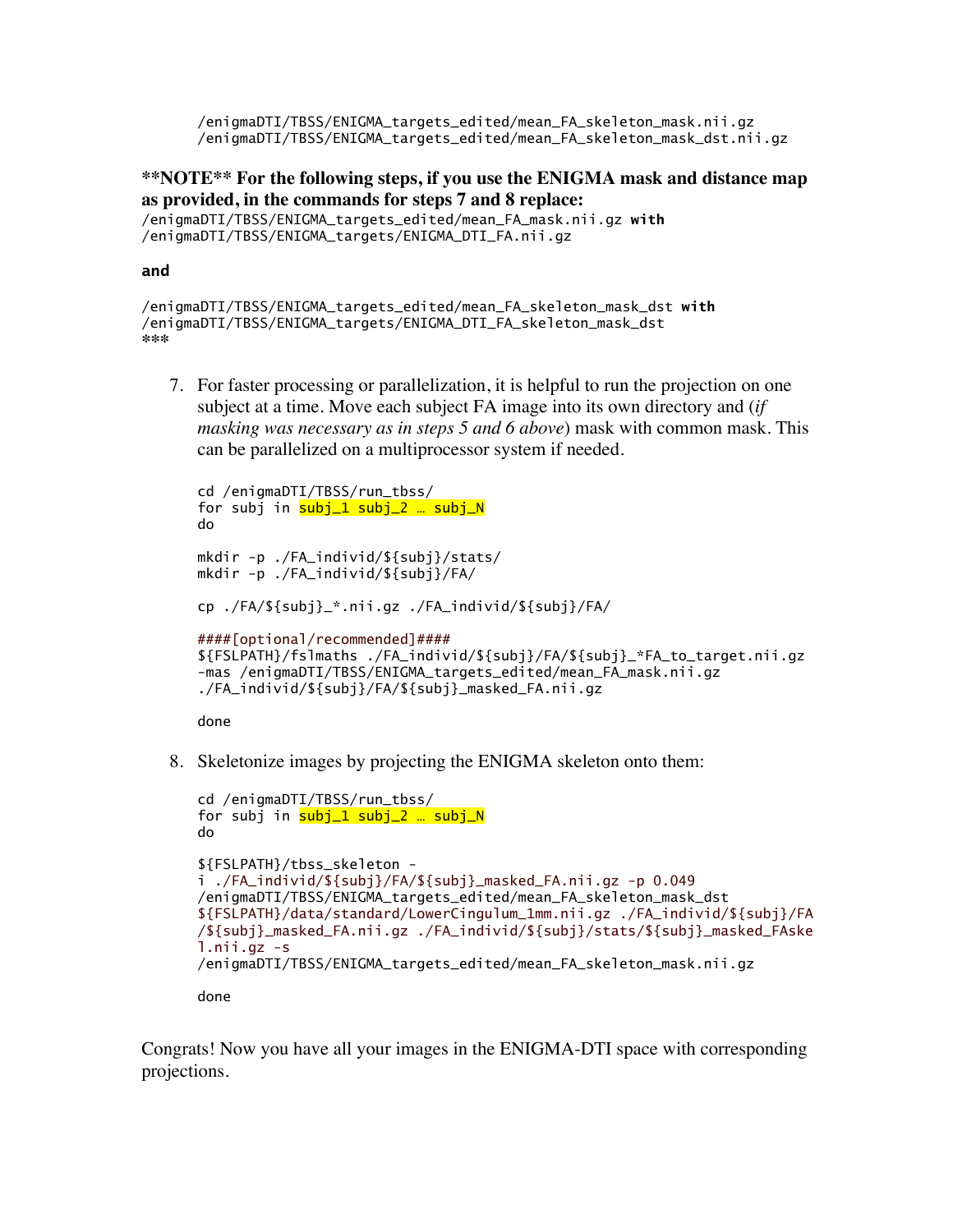/enigmaDTI/TBSS/ENIGMA\_targets\_edited/mean\_FA\_skeleton\_mask.nii.gz /enigmaDTI/TBSS/ENIGMA\_targets\_edited/mean\_FA\_skeleton\_mask\_dst.nii.gz

**\*\*NOTE\*\* For the following steps, if you use the ENIGMA mask and distance map as provided, in the commands for steps 7 and 8 replace:**

/enigmaDTI/TBSS/ENIGMA\_targets\_edited/mean\_FA\_mask.nii.gz **with** /enigmaDTI/TBSS/ENIGMA\_targets/ENIGMA\_DTI\_FA.nii.gz

## **and**

```
/enigmaDTI/TBSS/ENIGMA_targets_edited/mean_FA_skeleton_mask_dst with
/enigmaDTI/TBSS/ENIGMA_targets/ENIGMA_DTI_FA_skeleton_mask_dst
***
```
7. For faster processing or parallelization, it is helpful to run the projection on one subject at a time. Move each subject FA image into its own directory and (*if masking was necessary as in steps 5 and 6 above*) mask with common mask. This can be parallelized on a multiprocessor system if needed.

```
cd /enigmaDTI/TBSS/run_tbss/
for subj in \frac{\text{subj}}{1} subj_2 ... subj_N
do
mkdir -p ./FA_individ/${subj}/stats/
mkdir -p ./FA_individ/${subj}/FA/
cp ./FA/${subj}_*.nii.gz ./FA_individ/${subj}/FA/
####[optional/recommended]####
${FSLPATH}/fslmaths ./FA_individ/${subj}/FA/${subj}_*FA_to_target.nii.gz
-mas /enigmaDTI/TBSS/ENIGMA_targets_edited/mean_FA_mask.nii.gz
./FA_individ/${subj}/FA/${subj}_masked_FA.nii.gz
```
done

8. Skeletonize images by projecting the ENIGMA skeleton onto them:

```
cd /enigmaDTI/TBSS/run_tbss/
for subj in subj_1 subj_2 ... subj_N
do
${FSLPATH}/tbss_skeleton -
i ./FA_individ/${subj}/FA/${subj}_masked_FA.nii.gz -p 0.049 
/enigmaDTI/TBSS/ENIGMA_targets_edited/mean_FA_skeleton_mask_dst
${FSLPATH}/data/standard/LowerCingulum_1mm.nii.gz ./FA_individ/${subj}/FA
/${subj}_masked_FA.nii.gz ./FA_individ/${subj}/stats/${subj}_masked_FAske
l.nii.gz -s 
/enigmaDTI/TBSS/ENIGMA_targets_edited/mean_FA_skeleton_mask.nii.gz
done
```
Congrats! Now you have all your images in the ENIGMA-DTI space with corresponding projections.